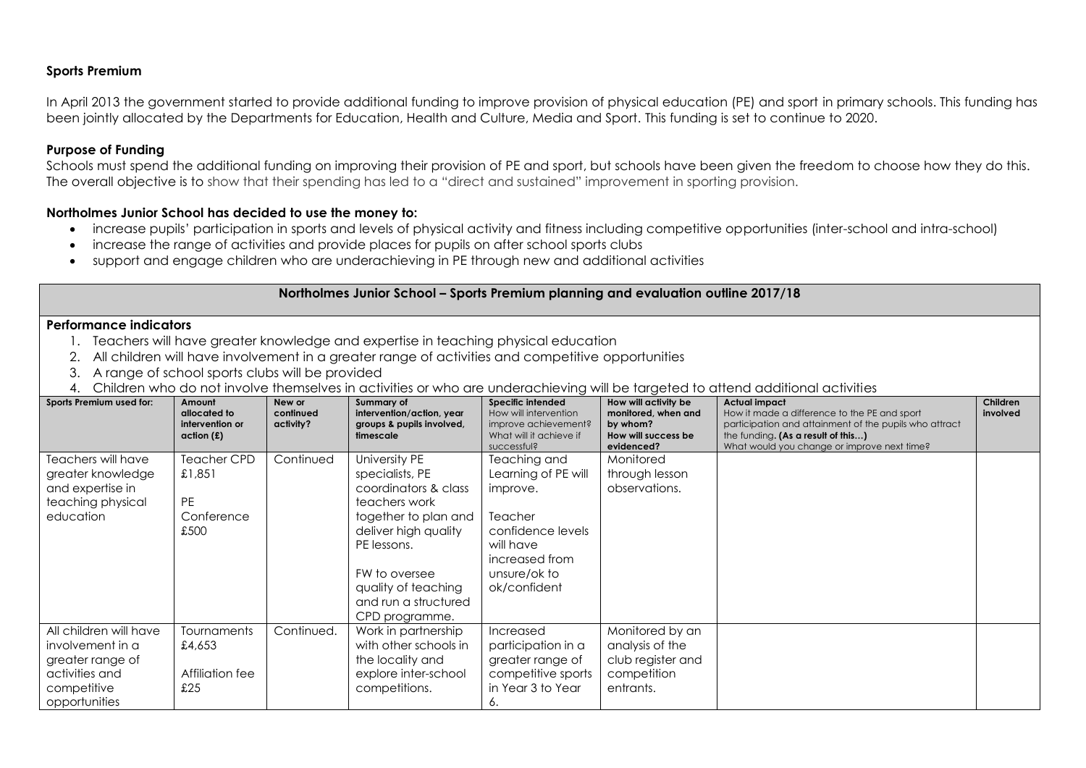# **Sports Premium**

In April 2013 the government started to provide additional funding to improve provision of physical education (PE) and sport in primary schools. This funding has been jointly allocated by the Departments for Education, Health and Culture, Media and Sport. This funding is set to continue to 2020.

## **Purpose of Funding**

Schools must spend the additional funding on improving their provision of PE and sport, but schools have been given the freedom to choose how they do this. The overall objective is to show that their spending has led to a "direct and sustained" improvement in sporting provision.

#### **Northolmes Junior School has decided to use the money to:**

- increase pupils' participation in sports and levels of physical activity and fitness including competitive opportunities (inter-school and intra-school)
- increase the range of activities and provide places for pupils on after school sports clubs
- support and engage children who are underachieving in PE through new and additional activities

#### **Northolmes Junior School – Sports Premium planning and evaluation outline 2017/18**

### **Performance indicators**

- 1. Teachers will have greater knowledge and expertise in teaching physical education
- 2. All children will have involvement in a greater range of activities and competitive opportunities
- 3. A range of school sports clubs will be provided
- 4. Children who do not involve themselves in activities or who are underachieving will be targeted to attend additional activities

| Sports Premium used for:                                                                                         | Amount<br>allocated to<br>intervention or<br>action(f)   | New or<br>continued<br>activity? | Summary of<br>intervention/action, year<br>groups & pupils involved,<br>timescale                                                                                                                                          | Specific intended<br>How will intervention<br>improve achievement?<br>What will it achieve if<br>successful?                                   | How will activity be<br>monitored, when and<br>by whom?<br>How will success be<br>evidenced? | <b>Actual impact</b><br>How it made a difference to the PE and sport<br>participation and attainment of the pupils who attract<br>the funding. (As a result of this)<br>What would you change or improve next time? | Children<br>involved |
|------------------------------------------------------------------------------------------------------------------|----------------------------------------------------------|----------------------------------|----------------------------------------------------------------------------------------------------------------------------------------------------------------------------------------------------------------------------|------------------------------------------------------------------------------------------------------------------------------------------------|----------------------------------------------------------------------------------------------|---------------------------------------------------------------------------------------------------------------------------------------------------------------------------------------------------------------------|----------------------|
| Teachers will have<br>greater knowledge<br>and expertise in<br>teaching physical<br>education                    | Teacher CPD<br>£1,851<br><b>PE</b><br>Conference<br>£500 | Continued                        | University PE<br>specialists, PE<br>coordinators & class<br>teachers work<br>together to plan and<br>deliver high quality<br>PE lessons.<br>FW to oversee<br>quality of teaching<br>and run a structured<br>CPD programme. | Teaching and<br>Learning of PE will<br>improve.<br>Teacher<br>confidence levels<br>will have<br>increased from<br>unsure/ok to<br>ok/confident | Monitored<br>through lesson<br>observations.                                                 |                                                                                                                                                                                                                     |                      |
| All children will have<br>involvement in a<br>greater range of<br>activities and<br>competitive<br>opportunities | Tournaments<br>£4,653<br>Affiliation fee<br>£25          | Continued.                       | Work in partnership<br>with other schools in<br>the locality and<br>explore inter-school<br>competitions.                                                                                                                  | Increased<br>participation in a<br>greater range of<br>competitive sports<br>in Year 3 to Year<br>6.                                           | Monitored by an<br>analysis of the<br>club register and<br>competition<br>entrants.          |                                                                                                                                                                                                                     |                      |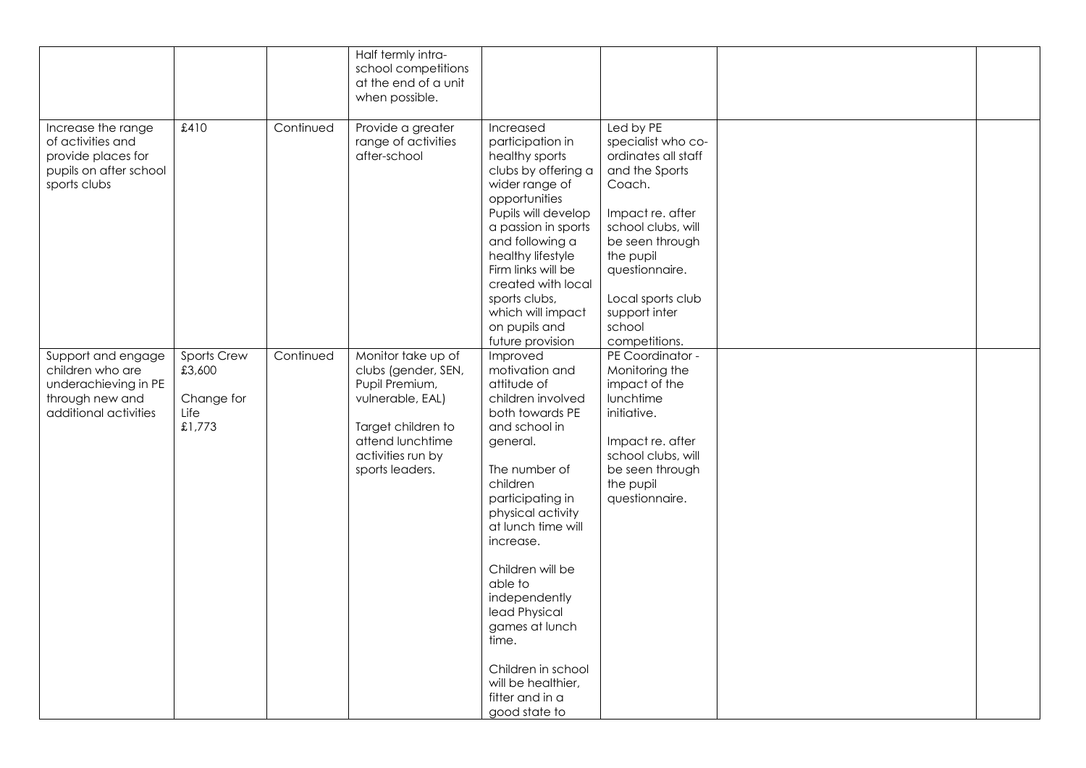|                                                                                                            |                                                       |           | Half termly intra-<br>school competitions<br>at the end of a unit<br>when possible.                                                                               |                                                                                                                                                                                                                                                                                                                                                                                                     |                                                                                                                                                                                                                                                 |  |
|------------------------------------------------------------------------------------------------------------|-------------------------------------------------------|-----------|-------------------------------------------------------------------------------------------------------------------------------------------------------------------|-----------------------------------------------------------------------------------------------------------------------------------------------------------------------------------------------------------------------------------------------------------------------------------------------------------------------------------------------------------------------------------------------------|-------------------------------------------------------------------------------------------------------------------------------------------------------------------------------------------------------------------------------------------------|--|
| Increase the range<br>of activities and<br>provide places for<br>pupils on after school<br>sports clubs    | £410                                                  | Continued | Provide a greater<br>range of activities<br>after-school                                                                                                          | Increased<br>participation in<br>healthy sports<br>clubs by offering a<br>wider range of<br>opportunities<br>Pupils will develop<br>a passion in sports<br>and following a<br>healthy lifestyle<br>Firm links will be<br>created with local<br>sports clubs,<br>which will impact<br>on pupils and<br>future provision                                                                              | Led by PE<br>specialist who co-<br>ordinates all staff<br>and the Sports<br>Coach.<br>Impact re. after<br>school clubs, will<br>be seen through<br>the pupil<br>questionnaire.<br>Local sports club<br>support inter<br>school<br>competitions. |  |
| Support and engage<br>children who are<br>underachieving in PE<br>through new and<br>additional activities | Sports Crew<br>£3,600<br>Change for<br>Life<br>£1,773 | Continued | Monitor take up of<br>clubs (gender, SEN,<br>Pupil Premium,<br>vulnerable, EAL)<br>Target children to<br>attend lunchtime<br>activities run by<br>sports leaders. | Improved<br>motivation and<br>attitude of<br>children involved<br>both towards PE<br>and school in<br>general.<br>The number of<br>children<br>participating in<br>physical activity<br>at lunch time will<br>increase.<br>Children will be<br>able to<br>independently<br>lead Physical<br>games at lunch<br>time.<br>Children in school<br>will be healthier,<br>fitter and in a<br>good state to | PE Coordinator -<br>Monitoring the<br>impact of the<br>lunchtime<br>initiative.<br>Impact re. after<br>school clubs, will<br>be seen through<br>the pupil<br>questionnaire.                                                                     |  |